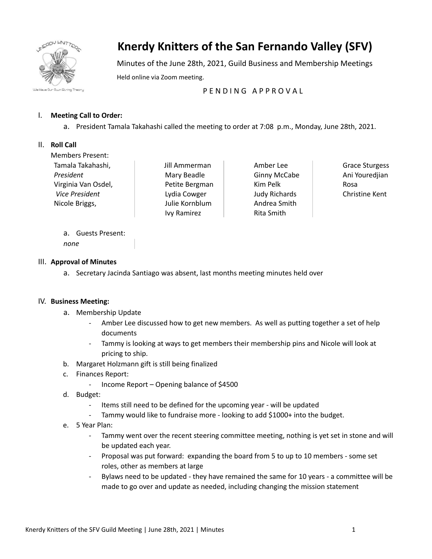

# **Knerdy Knitters of the San Fernando Valley (SFV)**

Minutes of the June 28th, 2021, Guild Business and Membership Meetings Held online via Zoom meeting.

## PENDING APPROVAL

### I. **Meeting Call to Order:**

a. President Tamala Takahashi called the meeting to order at 7:08 p.m., Monday, June 28th, 2021.

#### II. **Roll Call**

Members Present: Tamala Takahashi, *President* Virginia Van Osdel, *Vice President* Nicole Briggs,

Jill Ammerman Mary Beadle Petite Bergman Lydia Cowger Julie Kornblum Ivy Ramirez

Amber Lee Ginny McCabe Kim Pelk Judy Richards Andrea Smith Rita Smith

Grace Sturgess Ani Youredjian Rosa Christine Kent

a. Guests Present: *none*

#### III. **Approval of Minutes**

a. Secretary Jacinda Santiago was absent, last months meeting minutes held over

#### IV. **Business Meeting:**

- a. Membership Update
	- Amber Lee discussed how to get new members. As well as putting together a set of help documents
	- Tammy is looking at ways to get members their membership pins and Nicole will look at pricing to ship.
- b. Margaret Holzmann gift is still being finalized
- c. Finances Report:
	- Income Report Opening balance of \$4500
- d. Budget:
	- Items still need to be defined for the upcoming year will be updated
	- Tammy would like to fundraise more looking to add \$1000+ into the budget.
- e. 5 Year Plan:
	- Tammy went over the recent steering committee meeting, nothing is yet set in stone and will be updated each year.
	- Proposal was put forward: expanding the board from 5 to up to 10 members some set roles, other as members at large
	- Bylaws need to be updated they have remained the same for 10 years a committee will be made to go over and update as needed, including changing the mission statement